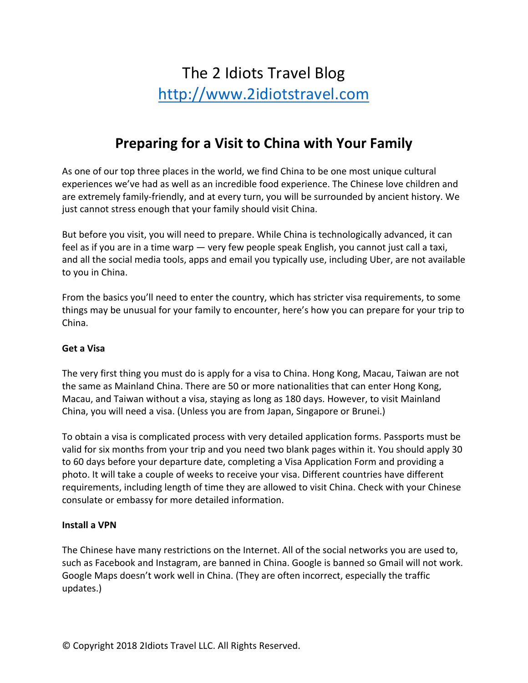# The 2 Idiots Travel Blog http://www.2idiotstravel.com

# **Preparing for a Visit to China with Your Family**

As one of our top three places in the world, we find China to be one most unique cultural experiences we've had as well as an incredible food experience. The Chinese love children and are extremely family-friendly, and at every turn, you will be surrounded by ancient history. We just cannot stress enough that your family should visit China.

But before you visit, you will need to prepare. While China is technologically advanced, it can feel as if you are in a time warp — very few people speak English, you cannot just call a taxi, and all the social media tools, apps and email you typically use, including Uber, are not available to you in China.

From the basics you'll need to enter the country, which has stricter visa requirements, to some things may be unusual for your family to encounter, here's how you can prepare for your trip to China.

# **Get a Visa**

The very first thing you must do is apply for a visa to China. Hong Kong, Macau, Taiwan are not the same as Mainland China. There are 50 or more nationalities that can enter Hong Kong, Macau, and Taiwan without a visa, staying as long as 180 days. However, to visit Mainland China, you will need a visa. (Unless you are from Japan, Singapore or Brunei.)

To obtain a visa is complicated process with very detailed application forms. Passports must be valid for six months from your trip and you need two blank pages within it. You should apply 30 to 60 days before your departure date, completing a Visa Application Form and providing a photo. It will take a couple of weeks to receive your visa. Different countries have different requirements, including length of time they are allowed to visit China. Check with your Chinese consulate or embassy for more detailed information.

#### **Install a VPN**

The Chinese have many restrictions on the Internet. All of the social networks you are used to, such as Facebook and Instagram, are banned in China. Google is banned so Gmail will not work. Google Maps doesn't work well in China. (They are often incorrect, especially the traffic updates.)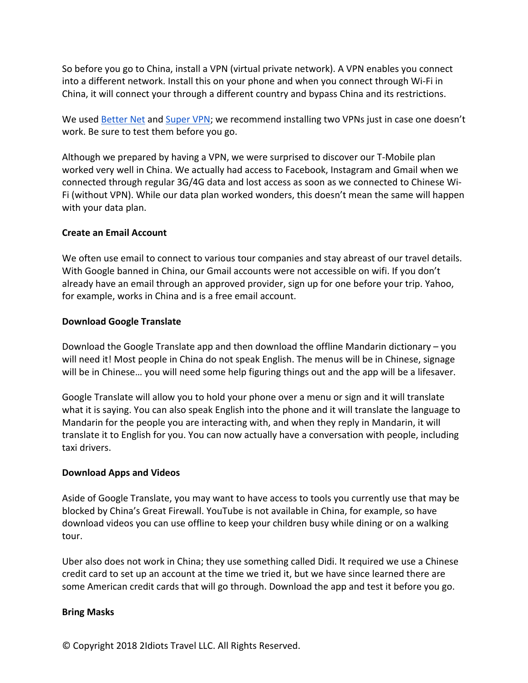So before you go to China, install a VPN (virtual private network). A VPN enables you connect into a different network. Install this on your phone and when you connect through Wi-Fi in China, it will connect your through a different country and bypass China and its restrictions.

We used Better Net and Super VPN; we recommend installing two VPNs just in case one doesn't work. Be sure to test them before you go.

Although we prepared by having a VPN, we were surprised to discover our T-Mobile plan worked very well in China. We actually had access to Facebook, Instagram and Gmail when we connected through regular 3G/4G data and lost access as soon as we connected to Chinese Wi-Fi (without VPN). While our data plan worked wonders, this doesn't mean the same will happen with your data plan.

# **Create an Email Account**

We often use email to connect to various tour companies and stay abreast of our travel details. With Google banned in China, our Gmail accounts were not accessible on wifi. If you don't already have an email through an approved provider, sign up for one before your trip. Yahoo, for example, works in China and is a free email account.

#### **Download Google Translate**

Download the Google Translate app and then download the offline Mandarin dictionary – you will need it! Most people in China do not speak English. The menus will be in Chinese, signage will be in Chinese… you will need some help figuring things out and the app will be a lifesaver.

Google Translate will allow you to hold your phone over a menu or sign and it will translate what it is saying. You can also speak English into the phone and it will translate the language to Mandarin for the people you are interacting with, and when they reply in Mandarin, it will translate it to English for you. You can now actually have a conversation with people, including taxi drivers.

# **Download Apps and Videos**

Aside of Google Translate, you may want to have access to tools you currently use that may be blocked by China's Great Firewall. YouTube is not available in China, for example, so have download videos you can use offline to keep your children busy while dining or on a walking tour.

Uber also does not work in China; they use something called Didi. It required we use a Chinese credit card to set up an account at the time we tried it, but we have since learned there are some American credit cards that will go through. Download the app and test it before you go.

# **Bring Masks**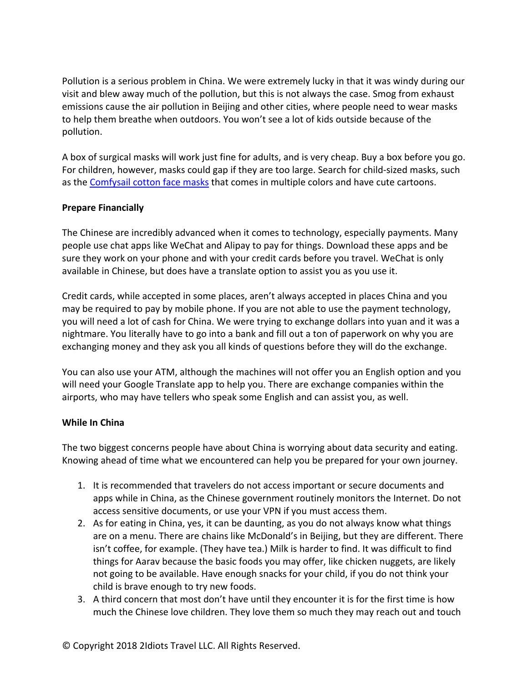Pollution is a serious problem in China. We were extremely lucky in that it was windy during our visit and blew away much of the pollution, but this is not always the case. Smog from exhaust emissions cause the air pollution in Beijing and other cities, where people need to wear masks to help them breathe when outdoors. You won't see a lot of kids outside because of the pollution.

A box of surgical masks will work just fine for adults, and is very cheap. Buy a box before you go. For children, however, masks could gap if they are too large. Search for child-sized masks, such as the Comfysail cotton face masks that comes in multiple colors and have cute cartoons.

# **Prepare Financially**

The Chinese are incredibly advanced when it comes to technology, especially payments. Many people use chat apps like WeChat and Alipay to pay for things. Download these apps and be sure they work on your phone and with your credit cards before you travel. WeChat is only available in Chinese, but does have a translate option to assist you as you use it.

Credit cards, while accepted in some places, aren't always accepted in places China and you may be required to pay by mobile phone. If you are not able to use the payment technology, you will need a lot of cash for China. We were trying to exchange dollars into yuan and it was a nightmare. You literally have to go into a bank and fill out a ton of paperwork on why you are exchanging money and they ask you all kinds of questions before they will do the exchange.

You can also use your ATM, although the machines will not offer you an English option and you will need your Google Translate app to help you. There are exchange companies within the airports, who may have tellers who speak some English and can assist you, as well.

# **While In China**

The two biggest concerns people have about China is worrying about data security and eating. Knowing ahead of time what we encountered can help you be prepared for your own journey.

- 1. It is recommended that travelers do not access important or secure documents and apps while in China, as the Chinese government routinely monitors the Internet. Do not access sensitive documents, or use your VPN if you must access them.
- 2. As for eating in China, yes, it can be daunting, as you do not always know what things are on a menu. There are chains like McDonald's in Beijing, but they are different. There isn't coffee, for example. (They have tea.) Milk is harder to find. It was difficult to find things for Aarav because the basic foods you may offer, like chicken nuggets, are likely not going to be available. Have enough snacks for your child, if you do not think your child is brave enough to try new foods.
- 3. A third concern that most don't have until they encounter it is for the first time is how much the Chinese love children. They love them so much they may reach out and touch